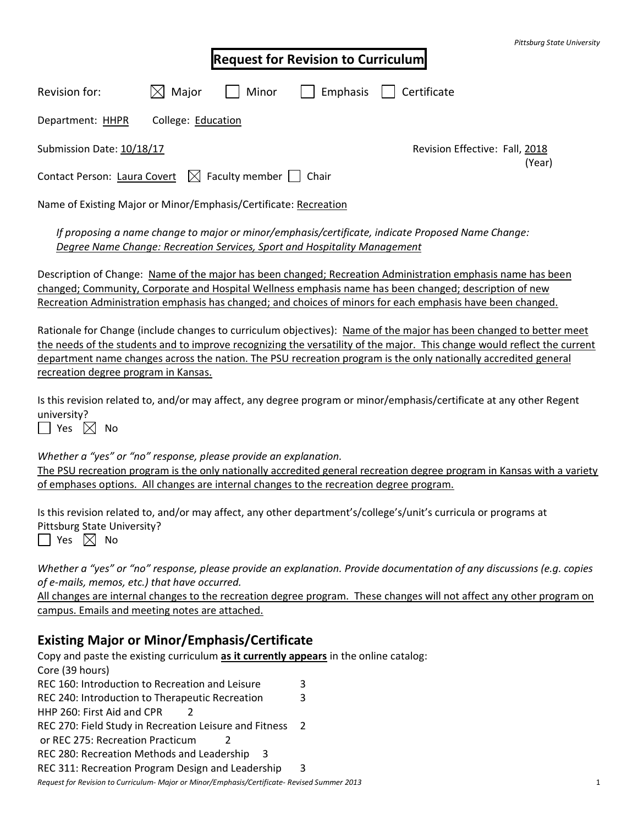| Pittsburg State University |  |
|----------------------------|--|
|----------------------------|--|

|                                                                                        |                    |                                | <b>Request for Revision to Curriculum</b> |             |
|----------------------------------------------------------------------------------------|--------------------|--------------------------------|-------------------------------------------|-------------|
| Revision for:                                                                          | Major<br>$\times$  | Minor                          | Emphasis<br>$\mathbf{I}$                  | Certificate |
| Department: HHPR                                                                       | College: Education |                                |                                           |             |
| Submission Date: 10/18/17                                                              |                    | Revision Effective: Fall, 2018 |                                           |             |
| (Year)<br>$\bowtie$ Faculty member $\mid$ $\mid$ Chair<br>Contact Person: Laura Covert |                    |                                |                                           |             |
| Name of Existing Major or Minor/Emphasis/Certificate: Recreation                       |                    |                                |                                           |             |
|                                                                                        |                    |                                |                                           |             |

*If proposing a name change to major or minor/emphasis/certificate, indicate Proposed Name Change: Degree Name Change: Recreation Services, Sport and Hospitality Management*

Description of Change: Name of the major has been changed; Recreation Administration emphasis name has been changed; Community, Corporate and Hospital Wellness emphasis name has been changed; description of new Recreation Administration emphasis has changed; and choices of minors for each emphasis have been changed.

Rationale for Change (include changes to curriculum objectives): Name of the major has been changed to better meet the needs of the students and to improve recognizing the versatility of the major. This change would reflect the current department name changes across the nation. The PSU recreation program is the only nationally accredited general recreation degree program in Kansas.

Is this revision related to, and/or may affect, any degree program or minor/emphasis/certificate at any other Regent university?

 $\Box$  Yes  $\boxtimes$  No

*Whether a "yes" or "no" response, please provide an explanation.* The PSU recreation program is the only nationally accredited general recreation degree program in Kansas with a variety of emphases options. All changes are internal changes to the recreation degree program.

Is this revision related to, and/or may affect, any other department's/college's/unit's curricula or programs at Pittsburg State University?  $\Box$  Yes  $\boxtimes$  No

*Whether a "yes" or "no" response, please provide an explanation. Provide documentation of any discussions (e.g. copies of e-mails, memos, etc.) that have occurred.*

All changes are internal changes to the recreation degree program. These changes will not affect any other program on campus. Emails and meeting notes are attached.

# **Existing Major or Minor/Emphasis/Certificate**

*Request for Revision to Curriculum- Major or Minor/Emphasis/Certificate- Revised Summer 2013* 1 Copy and paste the existing curriculum **as it currently appears** in the online catalog: Core (39 hours) REC 160: Introduction to Recreation and Leisure 3 REC 240: Introduction to Therapeutic Recreation 3 HHP 260: First Aid and CPR 2 REC 270: Field Study in Recreation Leisure and Fitness 2 or REC 275: Recreation Practicum 2 REC 280: Recreation Methods and Leadership 3 REC 311: Recreation Program Design and Leadership 3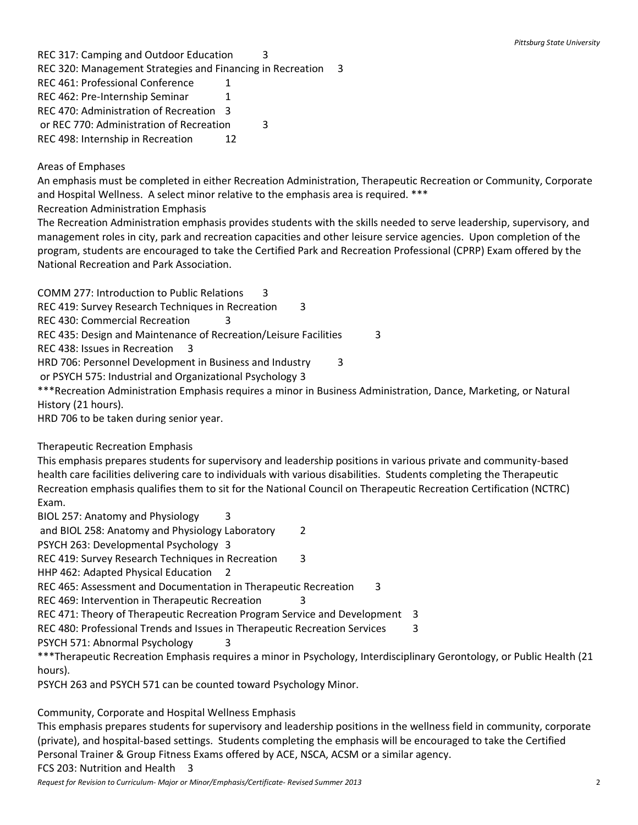REC 317: Camping and Outdoor Education 3 REC 320: Management Strategies and Financing in Recreation 3 REC 461: Professional Conference 1 REC 462: Pre-Internship Seminar 1 REC 470: Administration of Recreation 3 or REC 770: Administration of Recreation 3

REC 498: Internship in Recreation 12

#### Areas of Emphases

An emphasis must be completed in either Recreation Administration, Therapeutic Recreation or Community, Corporate and Hospital Wellness. A select minor relative to the emphasis area is required. \*\*\*

## Recreation Administration Emphasis

The Recreation Administration emphasis provides students with the skills needed to serve leadership, supervisory, and management roles in city, park and recreation capacities and other leisure service agencies. Upon completion of the program, students are encouraged to take the Certified Park and Recreation Professional (CPRP) Exam offered by the National Recreation and Park Association.

COMM 277: Introduction to Public Relations 3

REC 419: Survey Research Techniques in Recreation 3

REC 430: Commercial Recreation 3

REC 435: Design and Maintenance of Recreation/Leisure Facilities 3

REC 438: Issues in Recreation 3

HRD 706: Personnel Development in Business and Industry 3

or PSYCH 575: Industrial and Organizational Psychology 3

\*\*\*Recreation Administration Emphasis requires a minor in Business Administration, Dance, Marketing, or Natural History (21 hours).

HRD 706 to be taken during senior year.

## Therapeutic Recreation Emphasis

This emphasis prepares students for supervisory and leadership positions in various private and community-based health care facilities delivering care to individuals with various disabilities. Students completing the Therapeutic Recreation emphasis qualifies them to sit for the National Council on Therapeutic Recreation Certification (NCTRC) Exam.

BIOL 257: Anatomy and Physiology 3

and BIOL 258: Anatomy and Physiology Laboratory 2

PSYCH 263: Developmental Psychology 3

REC 419: Survey Research Techniques in Recreation 3

HHP 462: Adapted Physical Education 2

REC 465: Assessment and Documentation in Therapeutic Recreation 3

REC 469: Intervention in Therapeutic Recreation 3

REC 471: Theory of Therapeutic Recreation Program Service and Development 3

REC 480: Professional Trends and Issues in Therapeutic Recreation Services 3

PSYCH 571: Abnormal Psychology 3

\*\*\*Therapeutic Recreation Emphasis requires a minor in Psychology, Interdisciplinary Gerontology, or Public Health (21 hours).

PSYCH 263 and PSYCH 571 can be counted toward Psychology Minor.

Community, Corporate and Hospital Wellness Emphasis

This emphasis prepares students for supervisory and leadership positions in the wellness field in community, corporate (private), and hospital-based settings. Students completing the emphasis will be encouraged to take the Certified Personal Trainer & Group Fitness Exams offered by ACE, NSCA, ACSM or a similar agency. FCS 203: Nutrition and Health 3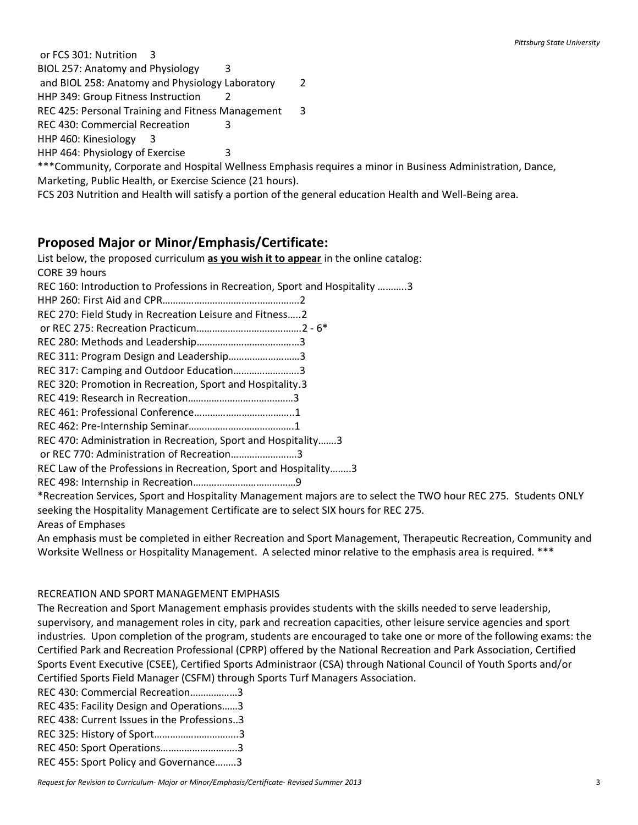or FCS 301: Nutrition 3

BIOL 257: Anatomy and Physiology 3

and BIOL 258: Anatomy and Physiology Laboratory 2

HHP 349: Group Fitness Instruction 2

REC 425: Personal Training and Fitness Management 3

REC 430: Commercial Recreation 3

HHP 460: Kinesiology 3

HHP 464: Physiology of Exercise 3

\*\*\*Community, Corporate and Hospital Wellness Emphasis requires a minor in Business Administration, Dance, Marketing, Public Health, or Exercise Science (21 hours).

FCS 203 Nutrition and Health will satisfy a portion of the general education Health and Well-Being area.

## **Proposed Major or Minor/Emphasis/Certificate:**

List below, the proposed curriculum **as you wish it to appear** in the online catalog: CORE 39 hours REC 160: Introduction to Professions in Recreation, Sport and Hospitality ………..3 HHP 260: First Aid and CPR…………………………………………….2 REC 270: Field Study in Recreation Leisure and Fitness…..2 or REC 275: Recreation Practicum………………………………….2 - 6\* REC 280: Methods and Leadership…………………………………3 REC 311: Program Design and Leadership………………………3 REC 317: Camping and Outdoor Education…………………….3 REC 320: Promotion in Recreation, Sport and Hospitality.3 REC 419: Research in Recreation…………………………….……3 REC 461: Professional Conference………………………………..1 REC 462: Pre-Internship Seminar………………………………….1 REC 470: Administration in Recreation, Sport and Hospitality…….3 or REC 770: Administration of Recreation…………………….3 REC Law of the Professions in Recreation, Sport and Hospitality……..3 REC 498: Internship in Recreation…………………………………9 \*Recreation Services, Sport and Hospitality Management majors are to select the TWO hour REC 275. Students ONLY seeking the Hospitality Management Certificate are to select SIX hours for REC 275. Areas of Emphases

An emphasis must be completed in either Recreation and Sport Management, Therapeutic Recreation, Community and Worksite Wellness or Hospitality Management. A selected minor relative to the emphasis area is required. \*\*\*

#### RECREATION AND SPORT MANAGEMENT EMPHASIS

The Recreation and Sport Management emphasis provides students with the skills needed to serve leadership, supervisory, and management roles in city, park and recreation capacities, other leisure service agencies and sport industries. Upon completion of the program, students are encouraged to take one or more of the following exams: the Certified Park and Recreation Professional (CPRP) offered by the National Recreation and Park Association, Certified Sports Event Executive (CSEE), Certified Sports Administraor (CSA) through National Council of Youth Sports and/or Certified Sports Field Manager (CSFM) through Sports Turf Managers Association.

| REC 430: Commercial Recreation3             |  |
|---------------------------------------------|--|
| REC 435: Facility Design and Operations3    |  |
| REC 438: Current Issues in the Professions3 |  |
| REC 325: History of Sport3                  |  |
| REC 450: Sport Operations3                  |  |
| REC 455: Sport Policy and Governance3       |  |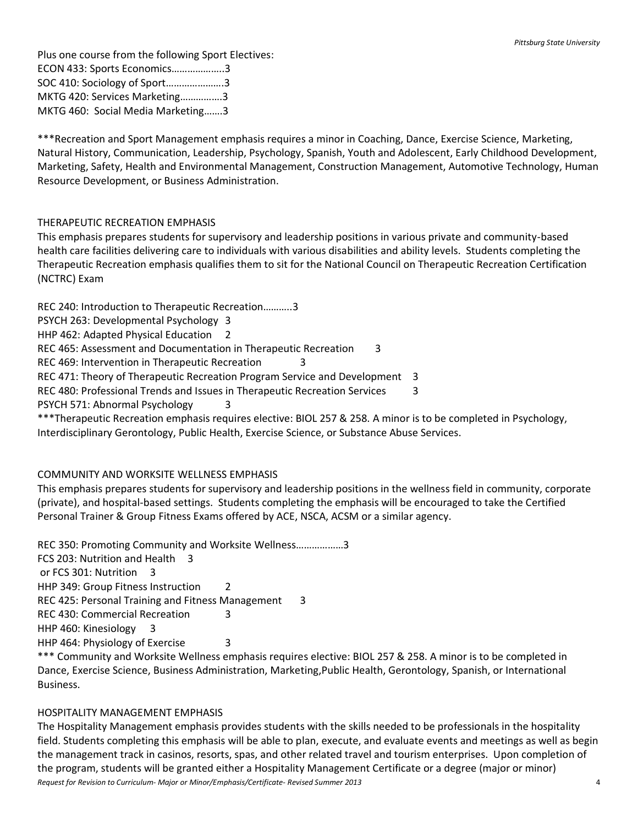Plus one course from the following Sport Electives: ECON 433: Sports Economics………………..3 SOC 410: Sociology of Sport………………….3 MKTG 420: Services Marketing…………….3 MKTG 460: Social Media Marketing…….3

\*\*\*Recreation and Sport Management emphasis requires a minor in Coaching, Dance, Exercise Science, Marketing, Natural History, Communication, Leadership, Psychology, Spanish, Youth and Adolescent, Early Childhood Development, Marketing, Safety, Health and Environmental Management, Construction Management, Automotive Technology, Human Resource Development, or Business Administration.

## THERAPEUTIC RECREATION EMPHASIS

This emphasis prepares students for supervisory and leadership positions in various private and community-based health care facilities delivering care to individuals with various disabilities and ability levels. Students completing the Therapeutic Recreation emphasis qualifies them to sit for the National Council on Therapeutic Recreation Certification (NCTRC) Exam

REC 240: Introduction to Therapeutic Recreation………..3 PSYCH 263: Developmental Psychology 3 HHP 462: Adapted Physical Education 2 REC 465: Assessment and Documentation in Therapeutic Recreation 3 REC 469: Intervention in Therapeutic Recreation REC 471: Theory of Therapeutic Recreation Program Service and Development 3 REC 480: Professional Trends and Issues in Therapeutic Recreation Services 3 PSYCH 571: Abnormal Psychology 3 \*\*\*Therapeutic Recreation emphasis requires elective: BIOL 257 & 258. A minor is to be completed in Psychology,

Interdisciplinary Gerontology, Public Health, Exercise Science, or Substance Abuse Services.

## COMMUNITY AND WORKSITE WELLNESS EMPHASIS

This emphasis prepares students for supervisory and leadership positions in the wellness field in community, corporate (private), and hospital-based settings. Students completing the emphasis will be encouraged to take the Certified Personal Trainer & Group Fitness Exams offered by ACE, NSCA, ACSM or a similar agency.

REC 350: Promoting Community and Worksite Wellness………………3 FCS 203: Nutrition and Health 3 or FCS 301: Nutrition 3 HHP 349: Group Fitness Instruction 2 REC 425: Personal Training and Fitness Management 3 REC 430: Commercial Recreation 3 HHP 460: Kinesiology 3 HHP 464: Physiology of Exercise 3

\*\*\* Community and Worksite Wellness emphasis requires elective: BIOL 257 & 258. A minor is to be completed in Dance, Exercise Science, Business Administration, Marketing,Public Health, Gerontology, Spanish, or International Business.

#### HOSPITALITY MANAGEMENT EMPHASIS

*Request for Revision to Curriculum- Major or Minor/Emphasis/Certificate- Revised Summer 2013* 4 The Hospitality Management emphasis provides students with the skills needed to be professionals in the hospitality field. Students completing this emphasis will be able to plan, execute, and evaluate events and meetings as well as begin the management track in casinos, resorts, spas, and other related travel and tourism enterprises. Upon completion of the program, students will be granted either a Hospitality Management Certificate or a degree (major or minor)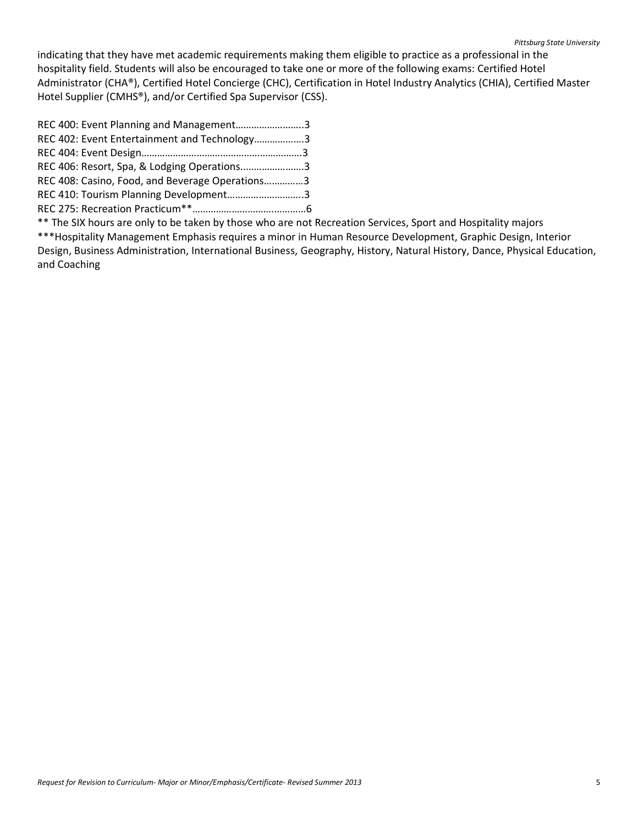indicating that they have met academic requirements making them eligible to practice as a professional in the hospitality field. Students will also be encouraged to take one or more of the following exams: Certified Hotel Administrator (CHA®), Certified Hotel Concierge (CHC), Certification in Hotel Industry Analytics (CHIA), Certified Master Hotel Supplier (CMHS®), and/or Certified Spa Supervisor (CSS).

| REC 400: Event Planning and Management3         |  |
|-------------------------------------------------|--|
| REC 402: Event Entertainment and Technology3    |  |
|                                                 |  |
| REC 406: Resort, Spa, & Lodging Operations3     |  |
| REC 408: Casino, Food, and Beverage Operations3 |  |
| REC 410: Tourism Planning Development3          |  |
|                                                 |  |

\*\* The SIX hours are only to be taken by those who are not Recreation Services, Sport and Hospitality majors \*\*\*Hospitality Management Emphasis requires a minor in Human Resource Development, Graphic Design, Interior Design, Business Administration, International Business, Geography, History, Natural History, Dance, Physical Education, and Coaching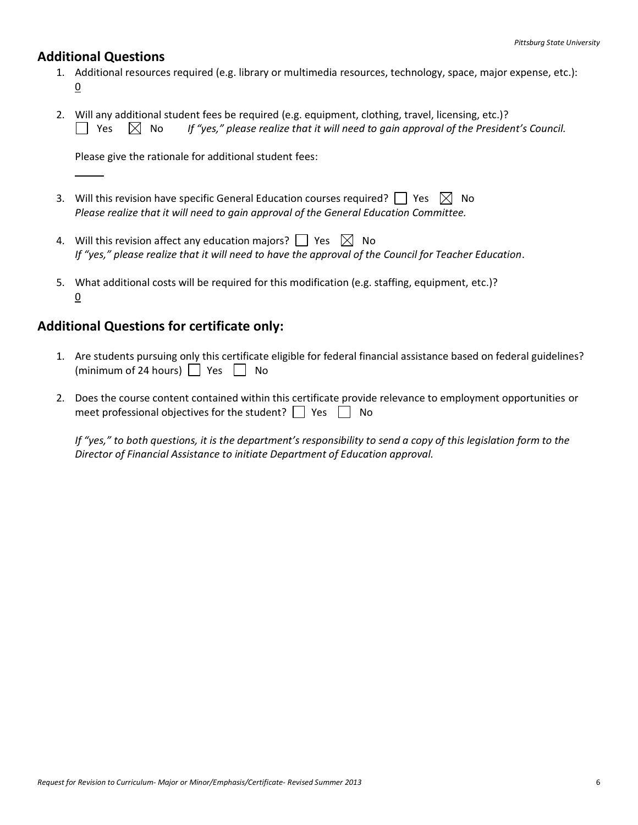## **Additional Questions**

- 1. Additional resources required (e.g. library or multimedia resources, technology, space, major expense, etc.): 0
- 2. Will any additional student fees be required (e.g. equipment, clothing, travel, licensing, etc.)?  $\Box$  Yes  $\Box$  No If "yes," please realize that it will need to gain approval of the President's Council.

Please give the rationale for additional student fees:

- 3. Will this revision have specific General Education courses required?  $\Box$  Yes  $\boxtimes$  No *Please realize that it will need to gain approval of the General Education Committee.*
- 4. Will this revision affect any education majors?  $\Box$  Yes  $\boxtimes$  No *If "yes," please realize that it will need to have the approval of the Council for Teacher Education*.
- 5. What additional costs will be required for this modification (e.g. staffing, equipment, etc.)? 0

# **Additional Questions for certificate only:**

- 1. Are students pursuing only this certificate eligible for federal financial assistance based on federal guidelines? (minimum of 24 hours)  $\Box$  Yes  $\Box$  No
- 2. Does the course content contained within this certificate provide relevance to employment opportunities or meet professional objectives for the student?  $\Box$  Yes  $\Box$  No

*If "yes," to both questions, it is the department's responsibility to send a copy of this legislation form to the Director of Financial Assistance to initiate Department of Education approval.*